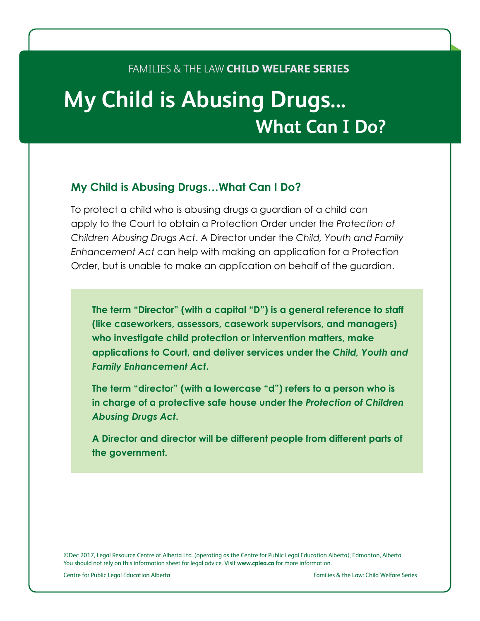#### Families & the Law **CHILD WELFARE Series**

# **My Child is Abusing Drugs... What Can I Do?**

#### **My Child is Abusing Drugs…What Can I Do?**

To protect a child who is abusing drugs a guardian of a child can apply to the Court to obtain a Protection Order under the *Protection of Children Abusing Drugs Act*. A Director under the *Child, Youth and Family Enhancement Act* can help with making an application for a Protection Order, but is unable to make an application on behalf of the guardian.

**The term "Director" (with a capital "D") is a general reference to staff (like caseworkers, assessors, casework supervisors, and managers) who investigate child protection or intervention matters, make applications to Court, and deliver services under the** *Child, Youth and Family Enhancement Act***.**

**The term "director" (with a lowercase "d") refers to a person who is in charge of a protective safe house under the** *Protection of Children Abusing Drugs Act***.**

**A Director and director will be different people from different parts of the government.**

©Dec 2017, Legal Resource Centre of Alberta Ltd. (operating as the Centre for Public Legal Education Alberta), Edmonton, Alberta. You should not rely on this information sheet for legal advice. Visit **www.cplea.ca** for more information.

Centre for Public Legal Education Alberta Families & the Law: Child Welfare Series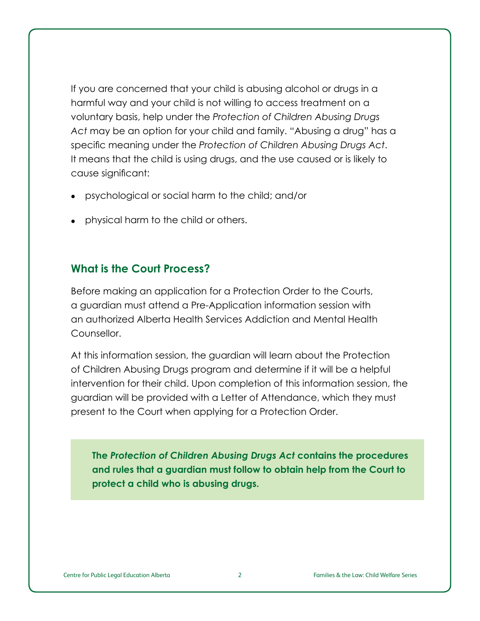If you are concerned that your child is abusing alcohol or drugs in a harmful way and your child is not willing to access treatment on a voluntary basis, help under the *Protection of Children Abusing Drugs Act* may be an option for your child and family. "Abusing a drug" has a specific meaning under the *Protection of Children Abusing Drugs Act*. It means that the child is using drugs, and the use caused or is likely to cause significant:

- • psychological or social harm to the child; and/or
- physical harm to the child or others.

#### **What is the Court Process?**

Before making an application for a Protection Order to the Courts, a guardian must attend a Pre-Application information session with an authorized Alberta Health Services Addiction and Mental Health Counsellor.

At this information session, the guardian will learn about the Protection of Children Abusing Drugs program and determine if it will be a helpful intervention for their child. Upon completion of this information session, the guardian will be provided with a Letter of Attendance, which they must present to the Court when applying for a Protection Order.

**The** *Protection of Children Abusing Drugs Act* **contains the procedures and rules that a guardian must follow to obtain help from the Court to protect a child who is abusing drugs.**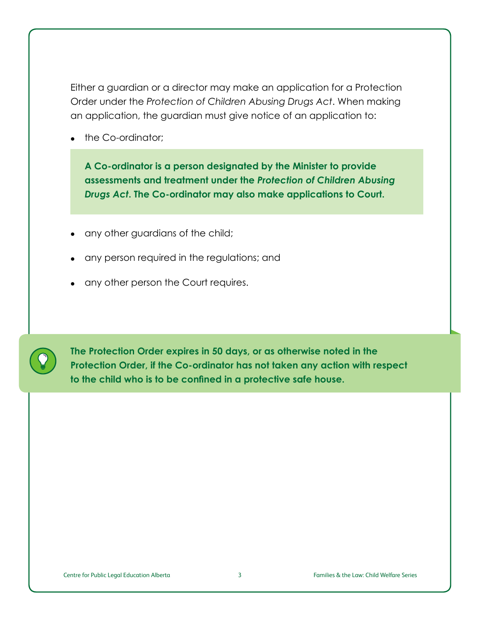Either a guardian or a director may make an application for a Protection Order under the *Protection of Children Abusing Drugs Act*. When making an application, the guardian must give notice of an application to:

• the Co-ordinator;

**A Co-ordinator is a person designated by the Minister to provide assessments and treatment under the** *Protection of Children Abusing Drugs Act***. The Co-ordinator may also make applications to Court.**

- any other guardians of the child;
- any person required in the regulations; and
- any other person the Court requires.



**The Protection Order expires in 50 days, or as otherwise noted in the Protection Order, if the Co-ordinator has not taken any action with respect to the child who is to be confined in a protective safe house.**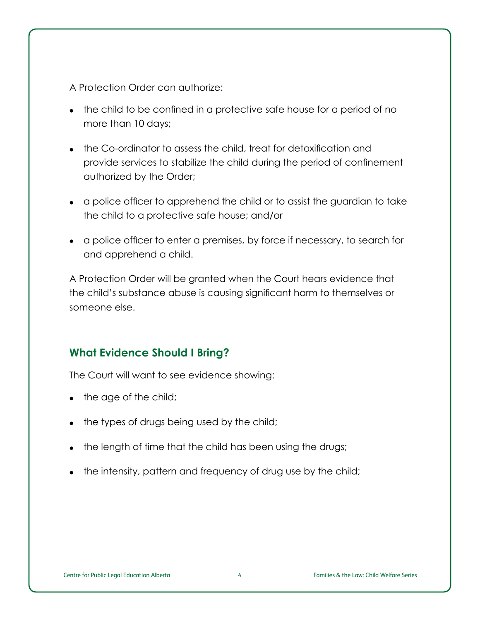A Protection Order can authorize:

- the child to be confined in a protective safe house for a period of no more than 10 days;
- the Co-ordinator to assess the child, treat for detoxification and provide services to stabilize the child during the period of confinement authorized by the Order;
- • a police officer to apprehend the child or to assist the guardian to take the child to a protective safe house; and/or
- a police officer to enter a premises, by force if necessary, to search for and apprehend a child.

A Protection Order will be granted when the Court hears evidence that the child's substance abuse is causing significant harm to themselves or someone else.

## **What Evidence Should I Bring?**

The Court will want to see evidence showing:

- the age of the child;
- the types of drugs being used by the child;
- the length of time that the child has been using the drugs;
- the intensity, pattern and frequency of drug use by the child;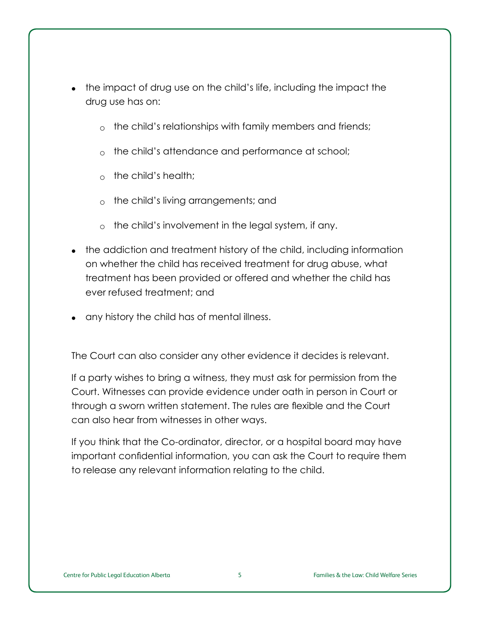- the impact of drug use on the child's life, including the impact the drug use has on:
	- $\circ$  the child's relationships with family members and friends;
	- $\circ$  the child's attendance and performance at school;
	- $\circ$  the child's health;
	- $\circ$  the child's living arrangements; and
	- $\circ$  the child's involvement in the legal system, if any.
- the addiction and treatment history of the child, including information on whether the child has received treatment for drug abuse, what treatment has been provided or offered and whether the child has ever refused treatment; and
- any history the child has of mental illness.

The Court can also consider any other evidence it decides is relevant.

If a party wishes to bring a witness, they must ask for permission from the Court. Witnesses can provide evidence under oath in person in Court or through a sworn written statement. The rules are flexible and the Court can also hear from witnesses in other ways.

If you think that the Co-ordinator, director, or a hospital board may have important confidential information, you can ask the Court to require them to release any relevant information relating to the child.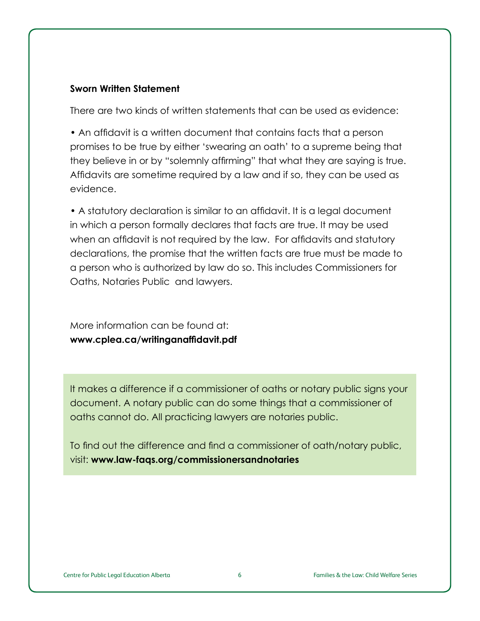#### **Sworn Written Statement**

There are two kinds of written statements that can be used as evidence:

• An affidavit is a written document that contains facts that a person promises to be true by either 'swearing an oath' to a supreme being that they believe in or by "solemnly affirming" that what they are saying is true. Affidavits are sometime required by a law and if so, they can be used as evidence.

• A statutory declaration is similar to an affidavit. It is a legal document in which a person formally declares that facts are true. It may be used when an affidavit is not required by the law. For affidavits and statutory declarations, the promise that the written facts are true must be made to a person who is authorized by law do so. This includes Commissioners for Oaths, Notaries Public and lawyers.

More information can be found at: **www.cplea.ca/writinganaffidavit.pdf**

It makes a difference if a commissioner of oaths or notary public signs your document. A notary public can do some things that a commissioner of oaths cannot do. All practicing lawyers are notaries public.

To find out the difference and find a commissioner of oath/notary public, visit: **www.law-faqs.org/commissionersandnotaries**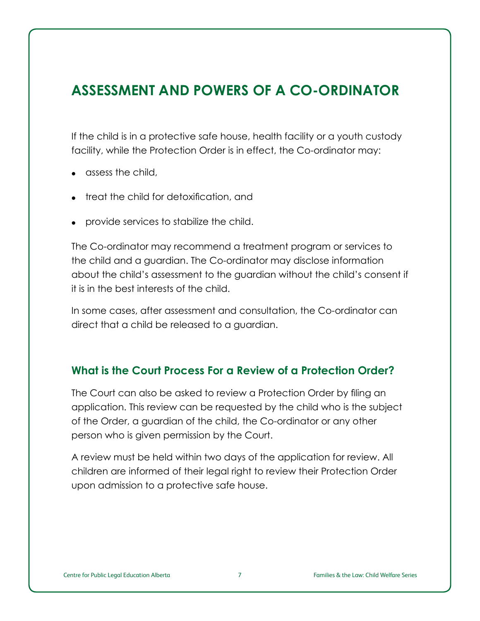# **ASSESSMENT AND POWERS OF A CO-ORDINATOR**

If the child is in a protective safe house, health facility or a youth custody facility, while the Protection Order is in effect, the Co-ordinator may:

- assess the child,
- treat the child for detoxification, and
- provide services to stabilize the child.

The Co-ordinator may recommend a treatment program or services to the child and a guardian. The Co-ordinator may disclose information about the child's assessment to the guardian without the child's consent if it is in the best interests of the child.

In some cases, after assessment and consultation, the Co-ordinator can direct that a child be released to a guardian.

#### **What is the Court Process For a Review of a Protection Order?**

The Court can also be asked to review a Protection Order by filing an application. This review can be requested by the child who is the subject of the Order, a guardian of the child, the Co-ordinator or any other person who is given permission by the Court.

A review must be held within two days of the application for review. All children are informed of their legal right to review their Protection Order upon admission to a protective safe house.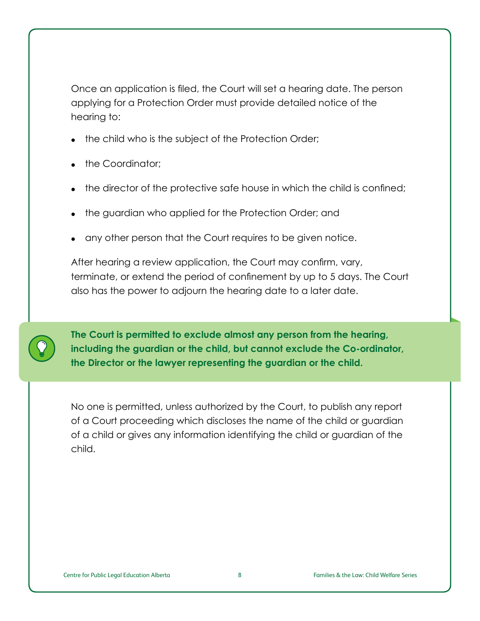Once an application is filed, the Court will set a hearing date. The person applying for a Protection Order must provide detailed notice of the hearing to:

- the child who is the subject of the Protection Order;
- the Coordinator:
- the director of the protective safe house in which the child is confined;
- the guardian who applied for the Protection Order; and
- any other person that the Court requires to be given notice.

After hearing a review application, the Court may confirm, vary, terminate, or extend the period of confinement by up to 5 days. The Court also has the power to adjourn the hearing date to a later date.

**The Court is permitted to exclude almost any person from the hearing, including the guardian or the child, but cannot exclude the Co-ordinator, the Director or the lawyer representing the guardian or the child.**

No one is permitted, unless authorized by the Court, to publish any report of a Court proceeding which discloses the name of the child or guardian of a child or gives any information identifying the child or guardian of the child.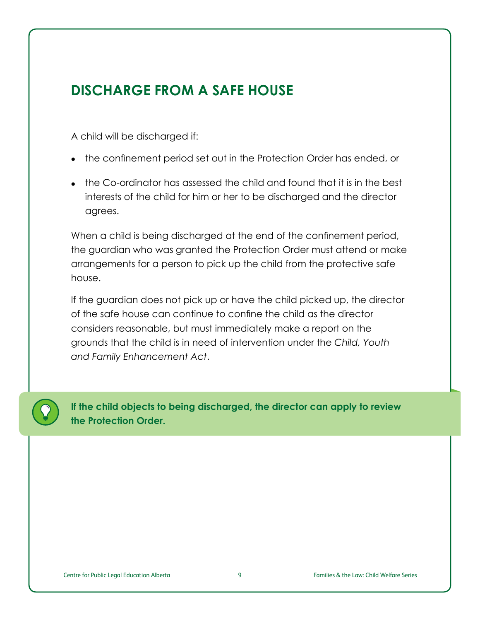# **DISCHARGE FROM A SAFE HOUSE**

A child will be discharged if:

- the confinement period set out in the Protection Order has ended, or
- the Co-ordinator has assessed the child and found that it is in the best interests of the child for him or her to be discharged and the director agrees.

When a child is being discharged at the end of the confinement period, the guardian who was granted the Protection Order must attend or make arrangements for a person to pick up the child from the protective safe house.

If the guardian does not pick up or have the child picked up, the director of the safe house can continue to confine the child as the director considers reasonable, but must immediately make a report on the grounds that the child is in need of intervention under the *Child, Youth and Family Enhancement Act*.



**If the child objects to being discharged, the director can apply to review the Protection Order.**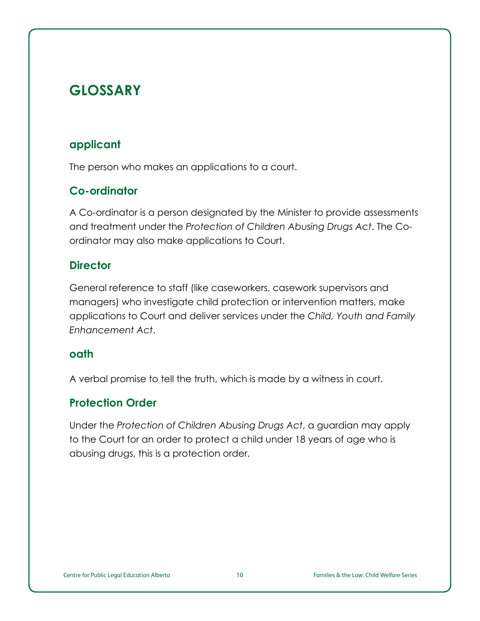# **GLOSSARY**

# **applicant**

The person who makes an applications to a court.

# **Co-ordinator**

A Co-ordinator is a person designated by the Minister to provide assessments and treatment under the *Protection of Children Abusing Drugs Act*. The Coordinator may also make applications to Court.

# **Director**

General reference to staff (like caseworkers, casework supervisors and managers) who investigate child protection or intervention matters, make applications to Court and deliver services under the *Child, Youth and Family Enhancement Act*.

#### **oath**

A verbal promise to tell the truth, which is made by a witness in court.

# **Protection Order**

Under the *Protection of Children Abusing Drugs Act*, a guardian may apply to the Court for an order to protect a child under 18 years of age who is abusing drugs, this is a protection order.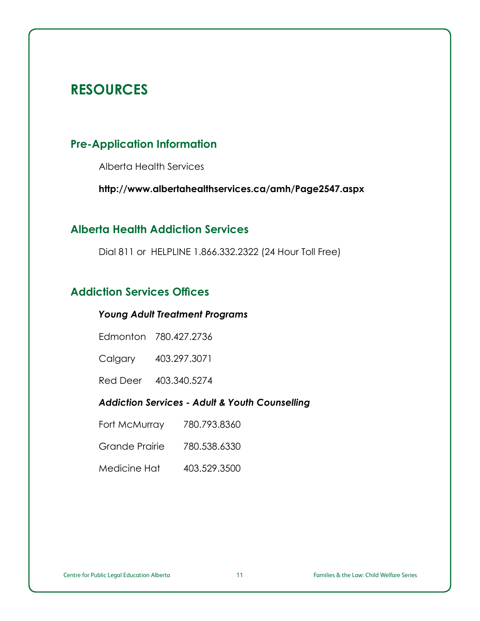# **RESOURCES**

## **Pre-Application Information**

Alberta Health Services

**<http://www.albertahealthservices.ca/amh/Page2547.aspx>**

## **Alberta Health Addiction Services**

Dial 811 or HELPLINE 1.866.332.2322 (24 Hour Toll Free)

# **Addiction Services Offices**

#### *Young Adult Treatment Programs*

Edmonton 780.427.2736

Calgary 403.297.3071

Red Deer 403.340.5274

#### *Addiction Services - Adult & Youth Counselling*

Fort McMurray 780.793.8360

Grande Prairie 780.538.6330

Medicine Hat 403.529.3500